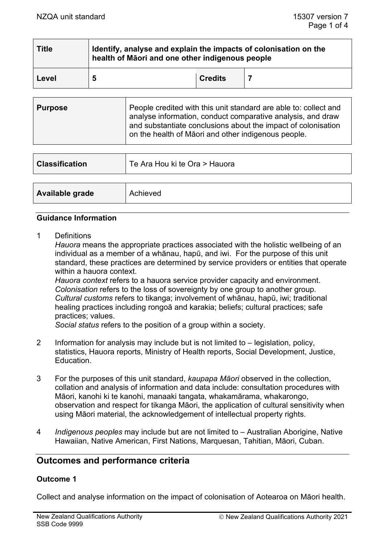| <b>Title</b> | Identify, analyse and explain the impacts of colonisation on the<br>health of Māori and one other indigenous people |                |  |  |
|--------------|---------------------------------------------------------------------------------------------------------------------|----------------|--|--|
| Level        | 5                                                                                                                   | <b>Credits</b> |  |  |

| <b>Purpose</b> | People credited with this unit standard are able to: collect and<br>analyse information, conduct comparative analysis, and draw<br>and substantiate conclusions about the impact of colonisation<br>on the health of Māori and other indigenous people. |
|----------------|---------------------------------------------------------------------------------------------------------------------------------------------------------------------------------------------------------------------------------------------------------|
|                |                                                                                                                                                                                                                                                         |

| <b>Classification</b> | Te Ara Hou ki te Ora > Hauora |  |
|-----------------------|-------------------------------|--|
|                       |                               |  |
| Available grade       | Achieved                      |  |

#### **Guidance Information**

1 Definitions

*Hauora* means the appropriate practices associated with the holistic wellbeing of an individual as a member of a whānau, hapū, and iwi. For the purpose of this unit standard, these practices are determined by service providers or entities that operate within a hauora context.

*Hauora context* refers to a hauora service provider capacity and environment. *Colonisation* refers to the loss of sovereignty by one group to another group*. Cultural customs* refers to tikanga; involvement of whānau, hapū, iwi; traditional healing practices including rongoā and karakia; beliefs; cultural practices; safe practices; values.

*Social status* refers to the position of a group within a society.

- 2 Information for analysis may include but is not limited to legislation, policy, statistics, Hauora reports, Ministry of Health reports, Social Development, Justice, Education.
- 3 For the purposes of this unit standard, *kaupapa Māori* observed in the collection, collation and analysis of information and data include: consultation procedures with Māori, kanohi ki te kanohi, manaaki tangata, whakamārama, whakarongo, observation and respect for tikanga Māori, the application of cultural sensitivity when using Māori material, the acknowledgement of intellectual property rights.
- 4 *Indigenous peoples* may include but are not limited to Australian Aborigine, Native Hawaiian, Native American, First Nations, Marquesan, Tahitian, Māori, Cuban.

# **Outcomes and performance criteria**

#### **Outcome 1**

Collect and analyse information on the impact of colonisation of Aotearoa on Māori health.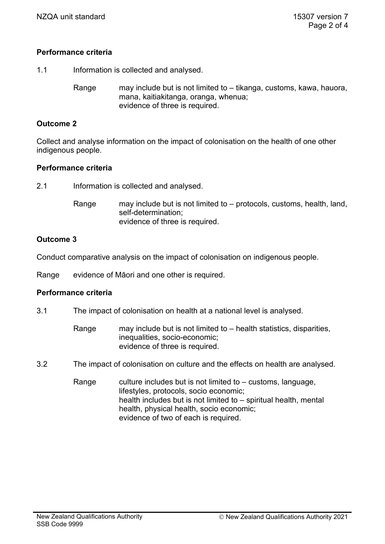# **Performance criteria**

1.1 Information is collected and analysed.

Range may include but is not limited to – tikanga, customs, kawa, hauora, mana, kaitiakitanga, oranga, whenua; evidence of three is required.

## **Outcome 2**

Collect and analyse information on the impact of colonisation on the health of one other indigenous people.

#### **Performance criteria**

2.1 Information is collected and analysed.

Range may include but is not limited to – protocols, customs, health, land, self-determination; evidence of three is required.

#### **Outcome 3**

Conduct comparative analysis on the impact of colonisation on indigenous people.

Range evidence of Māori and one other is required.

#### **Performance criteria**

- 3.1 The impact of colonisation on health at a national level is analysed.
	- Range may include but is not limited to health statistics, disparities, inequalities, socio-economic; evidence of three is required.
- 3.2 The impact of colonisation on culture and the effects on health are analysed.

Range culture includes but is not limited to  $-$  customs, language, lifestyles, protocols, socio economic; health includes but is not limited to – spiritual health, mental health, physical health, socio economic; evidence of two of each is required.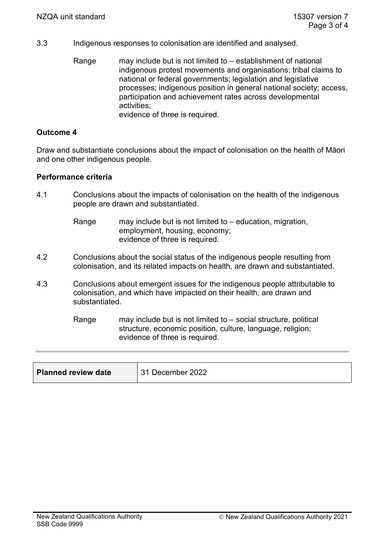- 3.3 Indigenous responses to colonisation are identified and analysed.
	- Range may include but is not limited to establishment of national indigenous protest movements and organisations; tribal claims to national or federal governments; legislation and legislative processes; indigenous position in general national society; access, participation and achievement rates across developmental activities; evidence of three is required.

# **Outcome 4**

Draw and substantiate conclusions about the impact of colonisation on the health of Māori and one other indigenous people.

#### **Performance criteria**

- 4.1 Conclusions about the impacts of colonisation on the health of the indigenous people are drawn and substantiated.
	- Range may include but is not limited to education, migration, employment, housing, economy; evidence of three is required.
- 4.2 Conclusions about the social status of the indigenous people resulting from colonisation, and its related impacts on health, are drawn and substantiated.
- 4.3 Conclusions about emergent issues for the indigenous people attributable to colonisation, and which have impacted on their health, are drawn and substantiated.

Range may include but is not limited to  $-$  social structure, political structure, economic position, culture, language, religion; evidence of three is required.

| <b>Planned review date</b> | 31 December 2022 |
|----------------------------|------------------|
|----------------------------|------------------|